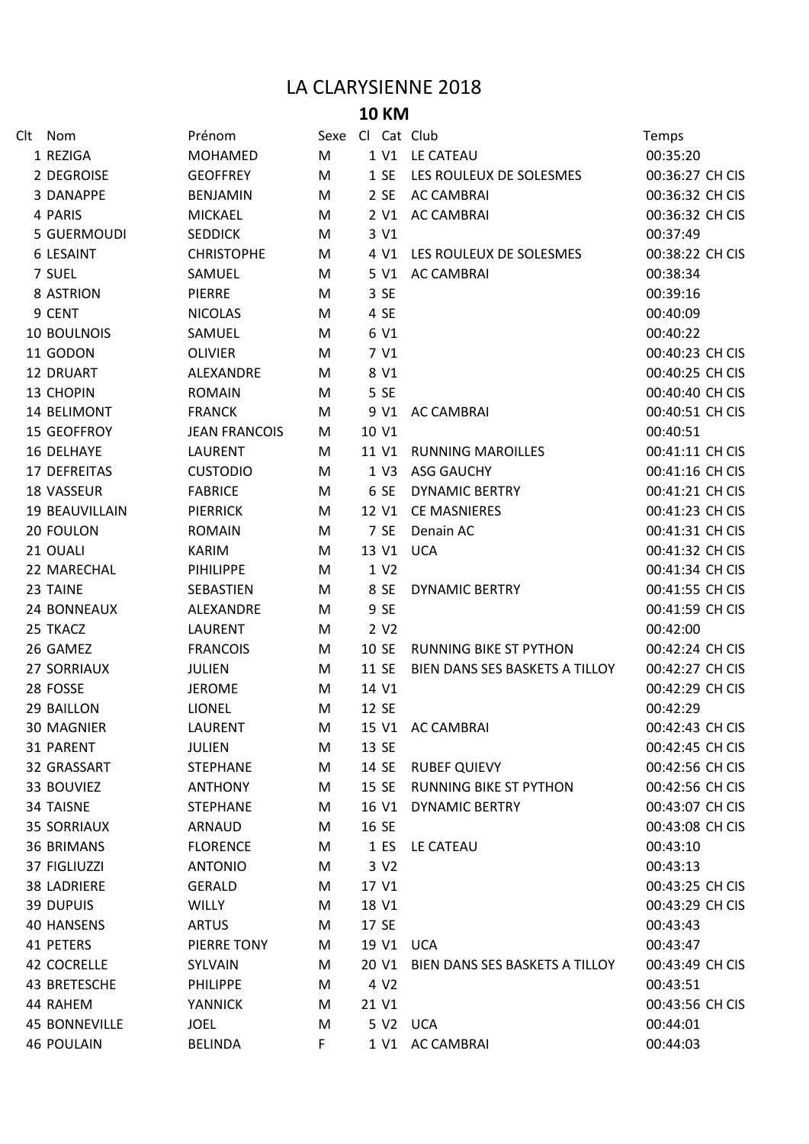## LA CLARYSIENNE 2018

## **10 KM**

| Clt Nom              | Prénom               | Sexe Cl Cat Club |       |                  |                                | Temps           |
|----------------------|----------------------|------------------|-------|------------------|--------------------------------|-----------------|
| 1 REZIGA             | MOHAMED              | M                |       |                  | 1 V1 LE CATEAU                 | 00:35:20        |
| 2 DEGROISE           | <b>GEOFFREY</b>      | M                |       | 1 SE             | LES ROULEUX DE SOLESMES        | 00:36:27 CH CIS |
| 3 DANAPPE            | <b>BENJAMIN</b>      | M                |       |                  | 2 SE AC CAMBRAI                | 00:36:32 CH CIS |
| 4 PARIS              | <b>MICKAEL</b>       | M                |       |                  | 2 V1 AC CAMBRAI                | 00:36:32 CH CIS |
| 5 GUERMOUDI          | <b>SEDDICK</b>       | M                |       | 3 V1             |                                | 00:37:49        |
| 6 LESAINT            | <b>CHRISTOPHE</b>    | M                |       | 4 V1             | LES ROULEUX DE SOLESMES        | 00:38:22 CH CIS |
| 7 SUEL               | SAMUEL               | M                |       |                  | 5 V1 AC CAMBRAI                | 00:38:34        |
| 8 ASTRION            | <b>PIERRE</b>        | M                |       | 3 SE             |                                | 00:39:16        |
| 9 CENT               | <b>NICOLAS</b>       | M                |       | 4 SE             |                                | 00:40:09        |
| <b>10 BOULNOIS</b>   | SAMUEL               | M                |       | 6 V1             |                                | 00:40:22        |
| 11 GODON             | <b>OLIVIER</b>       | M                |       | 7 V1             |                                | 00:40:23 CH CIS |
| 12 DRUART            | ALEXANDRE            | M                |       | 8 V1             |                                | 00:40:25 CH CIS |
| 13 CHOPIN            | <b>ROMAIN</b>        | M                |       | 5 SE             |                                | 00:40:40 CH CIS |
| 14 BELIMONT          | <b>FRANCK</b>        | M                |       |                  | 9 V1 AC CAMBRAI                | 00:40:51 CH CIS |
| 15 GEOFFROY          | <b>JEAN FRANCOIS</b> | M                |       | 10 V1            |                                | 00:40:51        |
| 16 DELHAYE           | <b>LAURENT</b>       | M                |       |                  | 11 V1 RUNNING MAROILLES        | 00:41:11 CH CIS |
| 17 DEFREITAS         | <b>CUSTODIO</b>      | M                |       |                  | 1 V3 ASG GAUCHY                | 00:41:16 CH CIS |
| 18 VASSEUR           | <b>FABRICE</b>       | M                |       | 6 SE             | <b>DYNAMIC BERTRY</b>          | 00:41:21 CH CIS |
| 19 BEAUVILLAIN       | <b>PIERRICK</b>      | M                |       |                  | 12 V1 CE MASNIERES             | 00:41:23 CH CIS |
| 20 FOULON            | <b>ROMAIN</b>        | M                |       | 7 SE             | Denain AC                      | 00:41:31 CH CIS |
| 21 OUALI             | <b>KARIM</b>         | M                |       |                  | 13 V1 UCA                      | 00:41:32 CH CIS |
| 22 MARECHAL          | <b>PIHILIPPE</b>     | M                |       | 1 V2             |                                | 00:41:34 CH CIS |
| 23 TAINE             | SEBASTIEN            | M                |       | 8 SE             | <b>DYNAMIC BERTRY</b>          | 00:41:55 CH CIS |
| 24 BONNEAUX          | ALEXANDRE            | M                |       | 9 SE             |                                | 00:41:59 CH CIS |
| 25 TKACZ             | <b>LAURENT</b>       | M                |       | 2 V <sub>2</sub> |                                | 00:42:00        |
| 26 GAMEZ             | <b>FRANCOIS</b>      | M                |       | 10 SE            | <b>RUNNING BIKE ST PYTHON</b>  | 00:42:24 CH CIS |
| <b>27 SORRIAUX</b>   | <b>JULIEN</b>        | M                |       | 11 SE            | BIEN DANS SES BASKETS A TILLOY | 00:42:27 CH CIS |
| 28 FOSSE             | <b>JEROME</b>        | M                |       | 14 V1            |                                | 00:42:29 CH CIS |
| 29 BAILLON           | <b>LIONEL</b>        | M                |       | 12 SE            |                                | 00:42:29        |
| 30 MAGNIER           | LAURENT              | M                |       |                  | 15 V1 AC CAMBRAI               | 00:42:43 CH CIS |
| 31 PARENT            | <b>JULIEN</b>        | M                |       | 13 SE            |                                | 00:42:45 CH CIS |
| 32 GRASSART          | <b>STEPHANE</b>      | M                |       | 14 SE            | <b>RUBEF QUIEVY</b>            | 00:42:56 CH CIS |
| 33 BOUVIEZ           | <b>ANTHONY</b>       | M                | 15 SE |                  | <b>RUNNING BIKE ST PYTHON</b>  | 00:42:56 CH CIS |
| 34 TAISNE            | <b>STEPHANE</b>      | М                |       | 16 V1            | <b>DYNAMIC BERTRY</b>          | 00:43:07 CH CIS |
| <b>35 SORRIAUX</b>   | ARNAUD               | М                |       | 16 SE            |                                | 00:43:08 CH CIS |
| <b>36 BRIMANS</b>    | <b>FLORENCE</b>      | M                |       | 1 ES             | LE CATEAU                      | 00:43:10        |
| 37 FIGLIUZZI         | <b>ANTONIO</b>       | M                |       | 3 V <sub>2</sub> |                                | 00:43:13        |
| <b>38 LADRIERE</b>   | <b>GERALD</b>        | M                |       | 17 V1            |                                | 00:43:25 CH CIS |
| 39 DUPUIS            | <b>WILLY</b>         | М                |       | 18 V1            |                                | 00:43:29 CH CIS |
| <b>40 HANSENS</b>    | <b>ARTUS</b>         | М                |       | 17 SE            |                                | 00:43:43        |
| 41 PETERS            | PIERRE TONY          | М                |       |                  | 19 V1 UCA                      | 00:43:47        |
| 42 COCRELLE          | SYLVAIN              | М                |       | 20 V1            | BIEN DANS SES BASKETS A TILLOY | 00:43:49 CH CIS |
| 43 BRETESCHE         | <b>PHILIPPE</b>      | M                |       | 4 V <sub>2</sub> |                                | 00:43:51        |
| 44 RAHEM             | <b>YANNICK</b>       | М                |       | 21 V1            |                                | 00:43:56 CH CIS |
| <b>45 BONNEVILLE</b> | <b>JOEL</b>          | M                |       |                  | 5 V2 UCA                       | 00:44:01        |
| <b>46 POULAIN</b>    | <b>BELINDA</b>       | F                |       |                  | 1 V1 AC CAMBRAI                | 00:44:03        |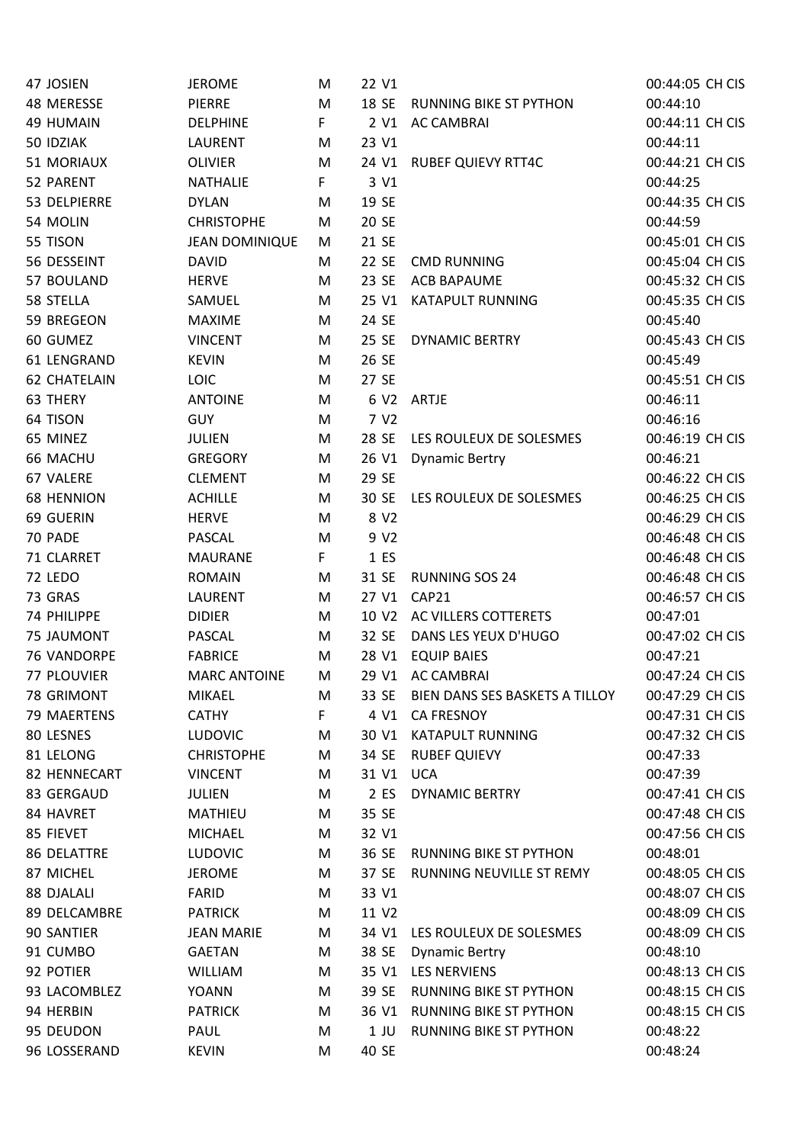| 47 JOSIEN           | <b>JEROME</b>         | M  | 22 V1             |                                | 00:44:05 CH CIS |
|---------------------|-----------------------|----|-------------------|--------------------------------|-----------------|
| 48 MERESSE          | <b>PIERRE</b>         | M  | 18 SE             | <b>RUNNING BIKE ST PYTHON</b>  | 00:44:10        |
| 49 HUMAIN           | <b>DELPHINE</b>       | F. | 2 V1              | <b>AC CAMBRAI</b>              | 00:44:11 CH CIS |
| 50 IDZIAK           | <b>LAURENT</b>        | M  | 23 V1             |                                | 00:44:11        |
| 51 MORIAUX          | <b>OLIVIER</b>        | M  | 24 V1             | <b>RUBEF QUIEVY RTT4C</b>      | 00:44:21 CH CIS |
| 52 PARENT           | <b>NATHALIE</b>       | F. | 3 V1              |                                | 00:44:25        |
| 53 DELPIERRE        | <b>DYLAN</b>          | M  | 19 SE             |                                | 00:44:35 CH CIS |
| 54 MOLIN            | <b>CHRISTOPHE</b>     | M  | 20 SE             |                                | 00:44:59        |
| 55 TISON            | <b>JEAN DOMINIQUE</b> | M  | 21 SE             |                                | 00:45:01 CH CIS |
| 56 DESSEINT         | <b>DAVID</b>          | M  | 22 SE             | <b>CMD RUNNING</b>             | 00:45:04 CH CIS |
| 57 BOULAND          | <b>HERVE</b>          | M  | 23 SE             | <b>ACB BAPAUME</b>             | 00:45:32 CH CIS |
| 58 STELLA           | SAMUEL                | M  | 25 V1             | <b>KATAPULT RUNNING</b>        | 00:45:35 CH CIS |
| 59 BREGEON          | <b>MAXIME</b>         | M  | 24 SE             |                                | 00:45:40        |
| 60 GUMEZ            | <b>VINCENT</b>        | M  | 25 SE             | <b>DYNAMIC BERTRY</b>          | 00:45:43 CH CIS |
| 61 LENGRAND         | <b>KEVIN</b>          | M  | 26 SE             |                                | 00:45:49        |
| <b>62 CHATELAIN</b> | <b>LOIC</b>           | M  | 27 SE             |                                | 00:45:51 CH CIS |
| 63 THERY            | <b>ANTOINE</b>        | M  |                   | 6 V2 ARTJE                     | 00:46:11        |
| 64 TISON            | <b>GUY</b>            | M  | 7 V <sub>2</sub>  |                                | 00:46:16        |
| 65 MINEZ            | <b>JULIEN</b>         | M  | 28 SE             | LES ROULEUX DE SOLESMES        | 00:46:19 CH CIS |
| 66 MACHU            | <b>GREGORY</b>        | M  | 26 V1             | <b>Dynamic Bertry</b>          | 00:46:21        |
| 67 VALERE           | <b>CLEMENT</b>        | M  | 29 SE             |                                | 00:46:22 CH CIS |
| <b>68 HENNION</b>   | <b>ACHILLE</b>        | M  | 30 SE             | LES ROULEUX DE SOLESMES        | 00:46:25 CH CIS |
| 69 GUERIN           | <b>HERVE</b>          | M  | 8 V <sub>2</sub>  |                                | 00:46:29 CH CIS |
| 70 PADE             | <b>PASCAL</b>         | M  | 9 V <sub>2</sub>  |                                | 00:46:48 CH CIS |
| 71 CLARRET          | <b>MAURANE</b>        | F. | 1 ES              |                                | 00:46:48 CH CIS |
| 72 LEDO             | <b>ROMAIN</b>         | M  | 31 SE             | <b>RUNNING SOS 24</b>          | 00:46:48 CH CIS |
| 73 GRAS             | LAURENT               | M  | 27 V1             | CAP21                          | 00:46:57 CH CIS |
| 74 PHILIPPE         | <b>DIDIER</b>         | M  | 10 V <sub>2</sub> | AC VILLERS COTTERETS           | 00:47:01        |
| 75 JAUMONT          | <b>PASCAL</b>         | M  | 32 SE             | DANS LES YEUX D'HUGO           | 00:47:02 CH CIS |
| 76 VANDORPE         | <b>FABRICE</b>        | M  | 28 V1             | <b>EQUIP BAIES</b>             | 00:47:21        |
| 77 PLOUVIER         | <b>MARC ANTOINE</b>   | M  |                   | 29 V1 AC CAMBRAI               | 00:47:24 CH CIS |
| 78 GRIMONT          | <b>MIKAEL</b>         | M  | 33 SE             | BIEN DANS SES BASKETS A TILLOY | 00:47:29 CH CIS |
| 79 MAERTENS         | <b>CATHY</b>          | F  | 4 V1              | <b>CA FRESNOY</b>              | 00:47:31 CH CIS |
| 80 LESNES           | <b>LUDOVIC</b>        | M  | 30 V1             | <b>KATAPULT RUNNING</b>        | 00:47:32 CH CIS |
| 81 LELONG           | <b>CHRISTOPHE</b>     | M  | 34 SE             | <b>RUBEF QUIEVY</b>            | 00:47:33        |
| 82 HENNECART        | <b>VINCENT</b>        | М  | 31 V1             | <b>UCA</b>                     | 00:47:39        |
| 83 GERGAUD          | JULIEN                | M  | 2 ES              | <b>DYNAMIC BERTRY</b>          | 00:47:41 CH CIS |
| 84 HAVRET           | <b>MATHIEU</b>        | M  | 35 SE             |                                | 00:47:48 CH CIS |
| 85 FIEVET           | <b>MICHAEL</b>        | M  | 32 V1             |                                | 00:47:56 CH CIS |
| 86 DELATTRE         | <b>LUDOVIC</b>        | M  | 36 SE             | <b>RUNNING BIKE ST PYTHON</b>  | 00:48:01        |
| 87 MICHEL           | <b>JEROME</b>         | M  | 37 SE             | RUNNING NEUVILLE ST REMY       | 00:48:05 CH CIS |
| 88 DJALALI          | FARID                 |    | 33 V1             |                                | 00:48:07 CH CIS |
| 89 DELCAMBRE        |                       | M  | 11 V2             |                                | 00:48:09 CH CIS |
| 90 SANTIER          | <b>PATRICK</b>        | M  |                   | LES ROULEUX DE SOLESMES        | 00:48:09 CH CIS |
|                     | <b>JEAN MARIE</b>     | M  | 34 V1             |                                | 00:48:10        |
| 91 CUMBO            | <b>GAETAN</b>         | M  | 38 SE             | <b>Dynamic Bertry</b>          |                 |
| 92 POTIER           | <b>WILLIAM</b>        | M  | 35 V1             | <b>LES NERVIENS</b>            | 00:48:13 CH CIS |
| 93 LACOMBLEZ        | <b>YOANN</b>          | M  | 39 SE             | <b>RUNNING BIKE ST PYTHON</b>  | 00:48:15 CH CIS |
| 94 HERBIN           | <b>PATRICK</b>        | M  | 36 V1             | <b>RUNNING BIKE ST PYTHON</b>  | 00:48:15 CH CIS |
| 95 DEUDON           | PAUL                  | M  | 1 JU              | <b>RUNNING BIKE ST PYTHON</b>  | 00:48:22        |
| 96 LOSSERAND        | <b>KEVIN</b>          | M  | 40 SE             |                                | 00:48:24        |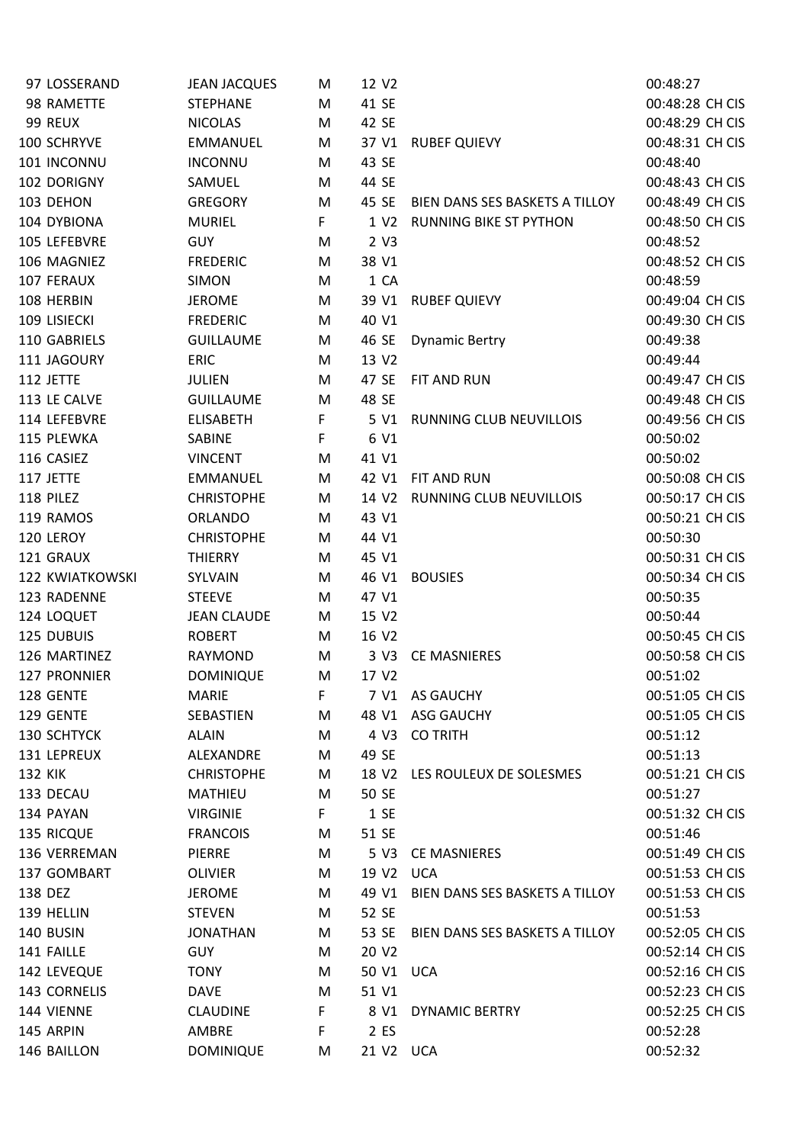| 97 LOSSERAND           | <b>JEAN JACQUES</b> | M  | 12 V <sub>2</sub> |                                | 00:48:27        |
|------------------------|---------------------|----|-------------------|--------------------------------|-----------------|
| 98 RAMETTE             | <b>STEPHANE</b>     | M  | 41 SE             |                                | 00:48:28 CH CIS |
| 99 REUX                | <b>NICOLAS</b>      | M  | 42 SE             |                                | 00:48:29 CH CIS |
| 100 SCHRYVE            | <b>EMMANUEL</b>     | M  | 37 V1             | <b>RUBEF QUIEVY</b>            | 00:48:31 CH CIS |
| 101 INCONNU            | <b>INCONNU</b>      | M  | 43 SE             |                                | 00:48:40        |
| 102 DORIGNY            | SAMUEL              | M  | 44 SE             |                                | 00:48:43 CH CIS |
| 103 DEHON              | <b>GREGORY</b>      | M  | 45 SE             | BIEN DANS SES BASKETS A TILLOY | 00:48:49 CH CIS |
| 104 DYBIONA            | <b>MURIEL</b>       | F. | 1 V <sub>2</sub>  | <b>RUNNING BIKE ST PYTHON</b>  | 00:48:50 CH CIS |
| 105 LEFEBVRE           | <b>GUY</b>          | M  | 2 V3              |                                | 00:48:52        |
| 106 MAGNIEZ            | <b>FREDERIC</b>     | M  | 38 V1             |                                | 00:48:52 CH CIS |
| 107 FERAUX             | <b>SIMON</b>        | M  | 1 CA              |                                | 00:48:59        |
| 108 HERBIN             | <b>JEROME</b>       | M  | 39 V1             | <b>RUBEF QUIEVY</b>            | 00:49:04 CH CIS |
| 109 LISIECKI           | <b>FREDERIC</b>     | M  | 40 V1             |                                | 00:49:30 CH CIS |
| 110 GABRIELS           | <b>GUILLAUME</b>    | M  | 46 SE             | <b>Dynamic Bertry</b>          | 00:49:38        |
| 111 JAGOURY            | <b>ERIC</b>         | M  | 13 V2             |                                | 00:49:44        |
| 112 JETTE              | <b>JULIEN</b>       | M  | 47 SE             | FIT AND RUN                    | 00:49:47 CH CIS |
| 113 LE CALVE           | <b>GUILLAUME</b>    | M  | 48 SE             |                                | 00:49:48 CH CIS |
| 114 LEFEBVRE           | <b>ELISABETH</b>    | F. | 5 V1              | <b>RUNNING CLUB NEUVILLOIS</b> | 00:49:56 CH CIS |
| 115 PLEWKA             | SABINE              | F. | 6 V1              |                                | 00:50:02        |
| 116 CASIEZ             | <b>VINCENT</b>      | M  | 41 V1             |                                | 00:50:02        |
| 117 JETTE              | <b>EMMANUEL</b>     | M  | 42 V1             | FIT AND RUN                    | 00:50:08 CH CIS |
| 118 PILEZ              | <b>CHRISTOPHE</b>   | M  | 14 V <sub>2</sub> | RUNNING CLUB NEUVILLOIS        | 00:50:17 CH CIS |
| 119 RAMOS              | <b>ORLANDO</b>      | M  | 43 V1             |                                | 00:50:21 CH CIS |
| 120 LEROY              | <b>CHRISTOPHE</b>   | M  | 44 V1             |                                | 00:50:30        |
| 121 GRAUX              | <b>THIERRY</b>      | M  | 45 V1             |                                | 00:50:31 CH CIS |
| <b>122 KWIATKOWSKI</b> | SYLVAIN             | M  | 46 V1             | <b>BOUSIES</b>                 | 00:50:34 CH CIS |
| 123 RADENNE            | <b>STEEVE</b>       | M  | 47 V1             |                                | 00:50:35        |
| 124 LOQUET             | <b>JEAN CLAUDE</b>  | M  | 15 V2             |                                | 00:50:44        |
| 125 DUBUIS             | <b>ROBERT</b>       | M  | 16 V <sub>2</sub> |                                | 00:50:45 CH CIS |
| 126 MARTINEZ           | RAYMOND             | M  | 3 V3              | <b>CE MASNIERES</b>            | 00:50:58 CH CIS |
| 127 PRONNIER           | <b>DOMINIQUE</b>    | M  | 17 V2             |                                | 00:51:02        |
| 128 GENTE              | <b>MARIE</b>        | F. |                   | 7 V1 AS GAUCHY                 | 00:51:05 CH CIS |
| 129 GENTE              | SEBASTIEN           | M  |                   | 48 V1 ASG GAUCHY               | 00:51:05 CH CIS |
| 130 SCHTYCK            | <b>ALAIN</b>        | M  | 4 V3              | <b>CO TRITH</b>                | 00:51:12        |
| 131 LEPREUX            | ALEXANDRE           | M  | 49 SE             |                                | 00:51:13        |
| 132 KIK                | <b>CHRISTOPHE</b>   | M  | 18 V2             | LES ROULEUX DE SOLESMES        | 00:51:21 CH CIS |
| 133 DECAU              | <b>MATHIEU</b>      | M  | 50 SE             |                                | 00:51:27        |
| 134 PAYAN              | <b>VIRGINIE</b>     | F  | 1 SE              |                                | 00:51:32 CH CIS |
| 135 RICQUE             | <b>FRANCOIS</b>     | M  | 51 SE             |                                | 00:51:46        |
| 136 VERREMAN           | PIERRE              | M  | 5 V3              | <b>CE MASNIERES</b>            | 00:51:49 CH CIS |
| 137 GOMBART            | <b>OLIVIER</b>      | M  | 19 V <sub>2</sub> | UCA                            | 00:51:53 CH CIS |
| 138 DEZ                | <b>JEROME</b>       | M  | 49 V1             | BIEN DANS SES BASKETS A TILLOY | 00:51:53 CH CIS |
| 139 HELLIN             | <b>STEVEN</b>       | M  | 52 SE             |                                | 00:51:53        |
| 140 BUSIN              | <b>JONATHAN</b>     | M  | 53 SE             | BIEN DANS SES BASKETS A TILLOY | 00:52:05 CH CIS |
| 141 FAILLE             | <b>GUY</b>          | M  | 20 V2             |                                | 00:52:14 CH CIS |
| 142 LEVEQUE            | <b>TONY</b>         | M  | 50 V1 UCA         |                                | 00:52:16 CH CIS |
| 143 CORNELIS           | <b>DAVE</b>         | M  | 51 V1             |                                | 00:52:23 CH CIS |
| 144 VIENNE             | <b>CLAUDINE</b>     | F  | 8 V1              | DYNAMIC BERTRY                 | 00:52:25 CH CIS |
| 145 ARPIN              | AMBRE               | F. | 2 ES              |                                | 00:52:28        |
| 146 BAILLON            | <b>DOMINIQUE</b>    | M  | 21 V2 UCA         |                                | 00:52:32        |
|                        |                     |    |                   |                                |                 |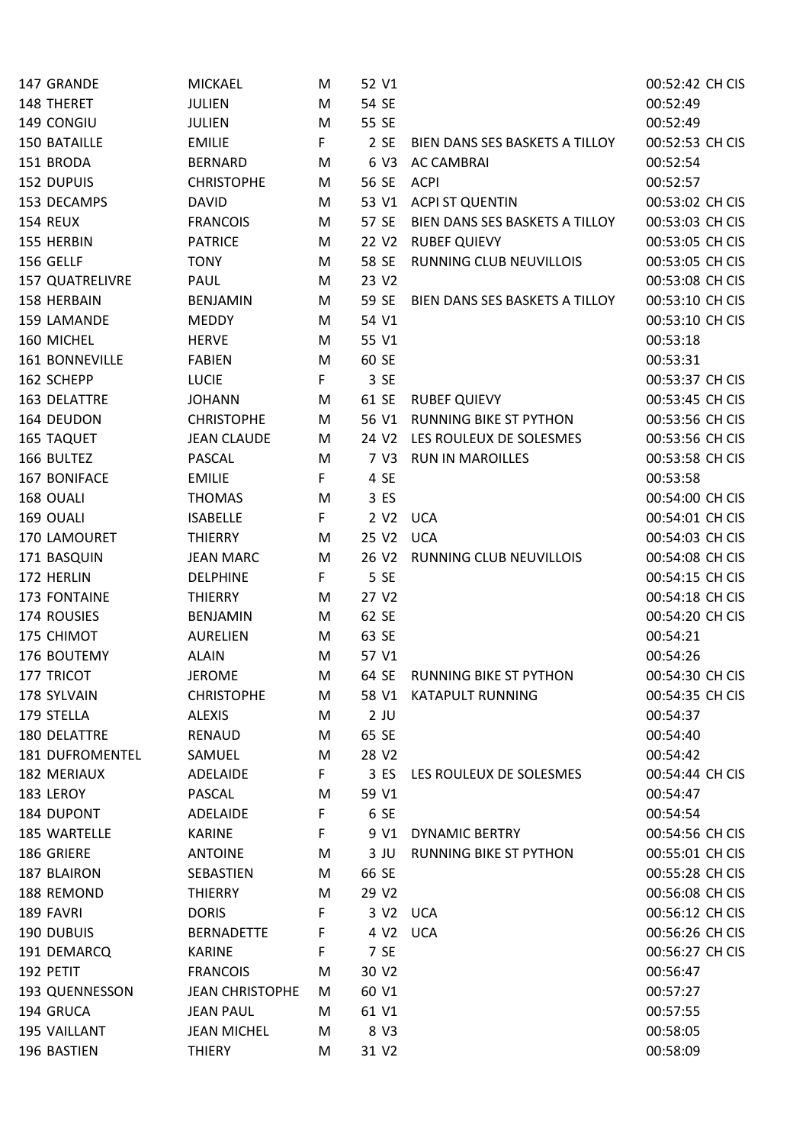| 147 GRANDE             | <b>MICKAEL</b>         | M  | 52 V1             |                                | 00:52:42 CH CIS |
|------------------------|------------------------|----|-------------------|--------------------------------|-----------------|
| 148 THERET             | <b>JULIEN</b>          | M  | 54 SE             |                                | 00:52:49        |
| 149 CONGIU             | <b>JULIEN</b>          | M  | 55 SE             |                                | 00:52:49        |
| 150 BATAILLE           | <b>EMILIE</b>          | F. | 2 SE              | BIEN DANS SES BASKETS A TILLOY | 00:52:53 CH CIS |
| 151 BRODA              | <b>BERNARD</b>         | M  | 6 V3              | <b>AC CAMBRAI</b>              | 00:52:54        |
| 152 DUPUIS             | <b>CHRISTOPHE</b>      | M  | 56 SE             | ACPI                           | 00:52:57        |
| 153 DECAMPS            | <b>DAVID</b>           | M  | 53 V1             | <b>ACPI ST QUENTIN</b>         | 00:53:02 CH CIS |
| 154 REUX               | <b>FRANCOIS</b>        | M  | 57 SE             | BIEN DANS SES BASKETS A TILLOY | 00:53:03 CH CIS |
| 155 HERBIN             | <b>PATRICE</b>         | M  | 22 V2             | <b>RUBEF QUIEVY</b>            | 00:53:05 CH CIS |
| 156 GELLF              | <b>TONY</b>            | M  | 58 SE             | RUNNING CLUB NEUVILLOIS        | 00:53:05 CH CIS |
| <b>157 QUATRELIVRE</b> | PAUL                   | M  | 23 V2             |                                | 00:53:08 CH CIS |
| 158 HERBAIN            | <b>BENJAMIN</b>        | M  | 59 SE             | BIEN DANS SES BASKETS A TILLOY | 00:53:10 CH CIS |
| 159 LAMANDE            | <b>MEDDY</b>           | M  | 54 V1             |                                | 00:53:10 CH CIS |
| 160 MICHEL             | <b>HERVE</b>           | M  | 55 V1             |                                | 00:53:18        |
| 161 BONNEVILLE         | <b>FABIEN</b>          | M  | 60 SE             |                                | 00:53:31        |
| 162 SCHEPP             | <b>LUCIE</b>           | F. | 3 SE              |                                | 00:53:37 CH CIS |
| 163 DELATTRE           | <b>JOHANN</b>          | M  | 61 SE             | <b>RUBEF QUIEVY</b>            | 00:53:45 CH CIS |
| 164 DEUDON             | <b>CHRISTOPHE</b>      | M  | 56 V1             | <b>RUNNING BIKE ST PYTHON</b>  | 00:53:56 CH CIS |
| 165 TAQUET             | <b>JEAN CLAUDE</b>     | M  | 24 V <sub>2</sub> | LES ROULEUX DE SOLESMES        | 00:53:56 CH CIS |
| 166 BULTEZ             | <b>PASCAL</b>          | M  | 7 V3              | <b>RUN IN MAROILLES</b>        | 00:53:58 CH CIS |
| 167 BONIFACE           | <b>EMILIE</b>          | F. | 4 SE              |                                | 00:53:58        |
| 168 OUALI              | <b>THOMAS</b>          | M  | 3 ES              |                                | 00:54:00 CH CIS |
| 169 OUALI              | <b>ISABELLE</b>        | F. | 2 V <sub>2</sub>  | <b>UCA</b>                     | 00:54:01 CH CIS |
| 170 LAMOURET           | <b>THIERRY</b>         | M  | 25 V2             | <b>UCA</b>                     | 00:54:03 CH CIS |
| 171 BASQUIN            | <b>JEAN MARC</b>       | M  | 26 V <sub>2</sub> | RUNNING CLUB NEUVILLOIS        | 00:54:08 CH CIS |
| 172 HERLIN             | <b>DELPHINE</b>        | F. | 5 SE              |                                | 00:54:15 CH CIS |
| 173 FONTAINE           | <b>THIERRY</b>         | M  | 27 V2             |                                | 00:54:18 CH CIS |
| 174 ROUSIES            | <b>BENJAMIN</b>        | M  | 62 SE             |                                | 00:54:20 CH CIS |
| 175 CHIMOT             | <b>AURELIEN</b>        | M  | 63 SE             |                                | 00:54:21        |
| 176 BOUTEMY            | <b>ALAIN</b>           | M  | 57 V1             |                                | 00:54:26        |
| 177 TRICOT             | <b>JEROME</b>          | M  | 64 SE             | <b>RUNNING BIKE ST PYTHON</b>  | 00:54:30 CH CIS |
| 178 SYLVAIN            | <b>CHRISTOPHE</b>      | M  |                   | 58 V1 KATAPULT RUNNING         | 00:54:35 CH CIS |
| 179 STELLA             | <b>ALEXIS</b>          | M  | $2$ JU            |                                | 00:54:37        |
| 180 DELATTRE           | RENAUD                 | M  | 65 SE             |                                | 00:54:40        |
| <b>181 DUFROMENTEL</b> | SAMUEL                 | M  | 28 V2             |                                | 00:54:42        |
| 182 MERIAUX            | ADELAIDE               | F. | 3 ES              | LES ROULEUX DE SOLESMES        | 00:54:44 CH CIS |
| 183 LEROY              | <b>PASCAL</b>          | M  | 59 V1             |                                | 00:54:47        |
| 184 DUPONT             | ADELAIDE               | F. | 6 SE              |                                | 00:54:54        |
| 185 WARTELLE           | <b>KARINE</b>          | F  | 9 V1              | <b>DYNAMIC BERTRY</b>          | 00:54:56 CH CIS |
| 186 GRIERE             | <b>ANTOINE</b>         | M  | $3$ JU            | <b>RUNNING BIKE ST PYTHON</b>  | 00:55:01 CH CIS |
| 187 BLAIRON            | SEBASTIEN              | M  | 66 SE             |                                | 00:55:28 CH CIS |
| 188 REMOND             | <b>THIERRY</b>         | M  | 29 V2             |                                | 00:56:08 CH CIS |
| 189 FAVRI              | <b>DORIS</b>           | F  | 3 V <sub>2</sub>  | <b>UCA</b>                     | 00:56:12 CH CIS |
| 190 DUBUIS             | <b>BERNADETTE</b>      | F. | 4 V <sub>2</sub>  | <b>UCA</b>                     | 00:56:26 CH CIS |
| 191 DEMARCQ            | <b>KARINE</b>          | F  | 7 SE              |                                | 00:56:27 CH CIS |
| 192 PETIT              | <b>FRANCOIS</b>        | M  | 30 V <sub>2</sub> |                                | 00:56:47        |
| 193 QUENNESSON         | <b>JEAN CHRISTOPHE</b> | M  | 60 V1             |                                | 00:57:27        |
| 194 GRUCA              | <b>JEAN PAUL</b>       | M  | 61 V1             |                                | 00:57:55        |
| 195 VAILLANT           | <b>JEAN MICHEL</b>     | M  | 8 V3              |                                | 00:58:05        |
| 196 BASTIEN            | <b>THIERY</b>          | M  | 31 V <sub>2</sub> |                                | 00:58:09        |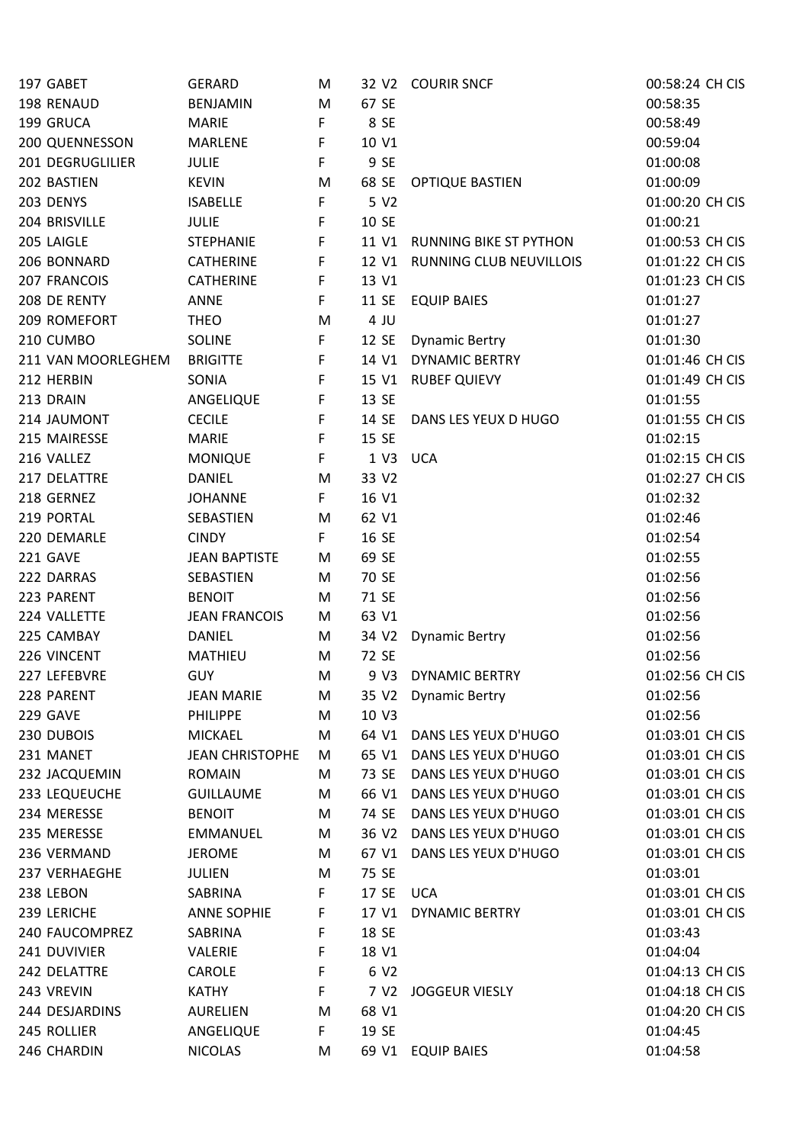| 197 GABET          | <b>GERARD</b>          | M  |                   | 32 V2 COURIR SNCF             | 00:58:24 CH CIS |
|--------------------|------------------------|----|-------------------|-------------------------------|-----------------|
| 198 RENAUD         | <b>BENJAMIN</b>        | M  | 67 SE             |                               | 00:58:35        |
| 199 GRUCA          | <b>MARIE</b>           | F  | 8 SE              |                               | 00:58:49        |
| 200 QUENNESSON     | <b>MARLENE</b>         | F  | 10 V1             |                               | 00:59:04        |
| 201 DEGRUGLILIER   | <b>JULIE</b>           | F. | 9 SE              |                               | 01:00:08        |
| 202 BASTIEN        | <b>KEVIN</b>           | M  | 68 SE             | <b>OPTIQUE BASTIEN</b>        | 01:00:09        |
| 203 DENYS          | <b>ISABELLE</b>        | F  | 5 V2              |                               | 01:00:20 CH CIS |
| 204 BRISVILLE      | <b>JULIE</b>           | F  | 10 SE             |                               | 01:00:21        |
| 205 LAIGLE         | <b>STEPHANIE</b>       | F  | 11 V1             | <b>RUNNING BIKE ST PYTHON</b> | 01:00:53 CH CIS |
| 206 BONNARD        | <b>CATHERINE</b>       | F  | 12 V1             | RUNNING CLUB NEUVILLOIS       | 01:01:22 CH CIS |
| 207 FRANCOIS       | <b>CATHERINE</b>       | F  | 13 V1             |                               | 01:01:23 CH CIS |
| 208 DE RENTY       | <b>ANNE</b>            | F. | 11 SE             | <b>EQUIP BAIES</b>            | 01:01:27        |
| 209 ROMEFORT       | <b>THEO</b>            | M  | 4 JU              |                               | 01:01:27        |
| 210 CUMBO          | <b>SOLINE</b>          | F  | 12 SE             | <b>Dynamic Bertry</b>         | 01:01:30        |
| 211 VAN MOORLEGHEM | <b>BRIGITTE</b>        | F  |                   | 14 V1 DYNAMIC BERTRY          | 01:01:46 CH CIS |
| 212 HERBIN         | SONIA                  | F  | 15 V1             | <b>RUBEF QUIEVY</b>           | 01:01:49 CH CIS |
| 213 DRAIN          | ANGELIQUE              | F  | 13 SE             |                               | 01:01:55        |
| 214 JAUMONT        | <b>CECILE</b>          | F  | 14 SE             | DANS LES YEUX D HUGO          | 01:01:55 CH CIS |
| 215 MAIRESSE       | <b>MARIE</b>           | F  | 15 SE             |                               | 01:02:15        |
| 216 VALLEZ         | <b>MONIQUE</b>         | F. | 1 V3 UCA          |                               | 01:02:15 CH CIS |
| 217 DELATTRE       | <b>DANIEL</b>          | M  | 33 V2             |                               | 01:02:27 CH CIS |
| 218 GERNEZ         | <b>JOHANNE</b>         | F. | 16 V1             |                               | 01:02:32        |
| 219 PORTAL         | SEBASTIEN              | M  | 62 V1             |                               | 01:02:46        |
| 220 DEMARLE        | <b>CINDY</b>           | F. | 16 SE             |                               | 01:02:54        |
| 221 GAVE           | <b>JEAN BAPTISTE</b>   | M  | 69 SE             |                               | 01:02:55        |
| 222 DARRAS         | SEBASTIEN              | M  | 70 SE             |                               | 01:02:56        |
| 223 PARENT         | <b>BENOIT</b>          |    | 71 SE             |                               | 01:02:56        |
|                    |                        | M  |                   |                               |                 |
| 224 VALLETTE       | <b>JEAN FRANCOIS</b>   | M  | 63 V1             |                               | 01:02:56        |
| 225 CAMBAY         | <b>DANIEL</b>          | M  | 34 V <sub>2</sub> | <b>Dynamic Bertry</b>         | 01:02:56        |
| 226 VINCENT        | <b>MATHIEU</b>         | M  | 72 SE             |                               | 01:02:56        |
| 227 LEFEBVRE       | <b>GUY</b>             | M  | 9 V3              | <b>DYNAMIC BERTRY</b>         | 01:02:56 CH CIS |
| 228 PARENT         | JEAN MARIE             | M  | 35 V2             | <b>Dynamic Bertry</b>         | 01:02:56        |
| 229 GAVE           | <b>PHILIPPE</b>        | M  | 10 V3             |                               | 01:02:56        |
| 230 DUBOIS         | <b>MICKAEL</b>         | M  | 64 V1             | DANS LES YEUX D'HUGO          | 01:03:01 CH CIS |
| 231 MANET          | <b>JEAN CHRISTOPHE</b> | M  | 65 V1             | DANS LES YEUX D'HUGO          | 01:03:01 CH CIS |
| 232 JACQUEMIN      | <b>ROMAIN</b>          | M  | 73 SE             | DANS LES YEUX D'HUGO          | 01:03:01 CH CIS |
| 233 LEQUEUCHE      | <b>GUILLAUME</b>       | M  | 66 V1             | DANS LES YEUX D'HUGO          | 01:03:01 CH CIS |
| 234 MERESSE        | <b>BENOIT</b>          | M  | 74 SE             | DANS LES YEUX D'HUGO          | 01:03:01 CH CIS |
| 235 MERESSE        | <b>EMMANUEL</b>        | M  | 36 V <sub>2</sub> | DANS LES YEUX D'HUGO          | 01:03:01 CH CIS |
| 236 VERMAND        | <b>JEROME</b>          | M  | 67 V1             | DANS LES YEUX D'HUGO          | 01:03:01 CH CIS |
| 237 VERHAEGHE      | <b>JULIEN</b>          | M  | 75 SE             |                               | 01:03:01        |
| 238 LEBON          | SABRINA                | F. | 17 SE             | <b>UCA</b>                    | 01:03:01 CH CIS |
| 239 LERICHE        | <b>ANNE SOPHIE</b>     | F  | 17 V1             | <b>DYNAMIC BERTRY</b>         | 01:03:01 CH CIS |
| 240 FAUCOMPREZ     | SABRINA                | F  | 18 SE             |                               | 01:03:43        |
| 241 DUVIVIER       | VALERIE                | F  | 18 V1             |                               | 01:04:04        |
| 242 DELATTRE       | CAROLE                 | F  | 6 V <sub>2</sub>  |                               | 01:04:13 CH CIS |
| 243 VREVIN         | <b>KATHY</b>           | F  | 7 V <sub>2</sub>  | <b>JOGGEUR VIESLY</b>         | 01:04:18 CH CIS |
| 244 DESJARDINS     | <b>AURELIEN</b>        | M  | 68 V1             |                               | 01:04:20 CH CIS |
| 245 ROLLIER        | ANGELIQUE              | F. | 19 SE             |                               | 01:04:45        |
| 246 CHARDIN        | <b>NICOLAS</b>         | M  |                   | 69 V1 EQUIP BAIES             | 01:04:58        |